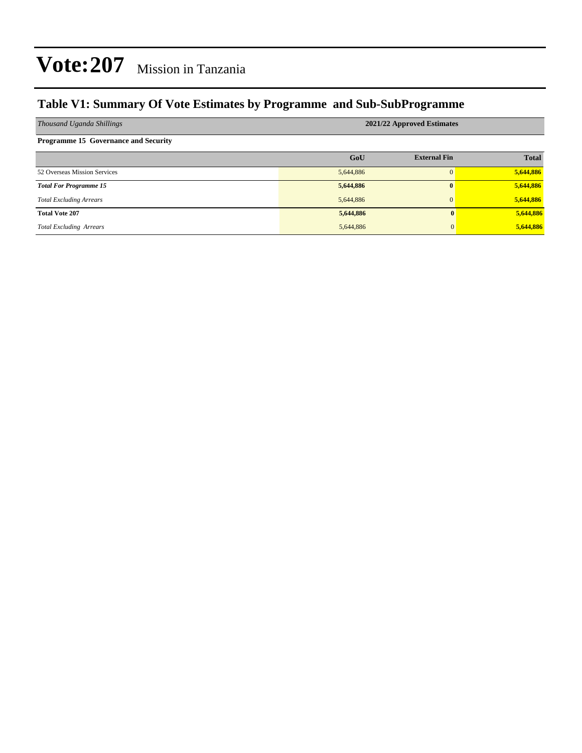### **Table V1: Summary Of Vote Estimates by Programme and Sub-SubProgramme**

| Thousand Uganda Shillings                   | 2021/22 Approved Estimates |                     |              |  |  |  |  |  |
|---------------------------------------------|----------------------------|---------------------|--------------|--|--|--|--|--|
| <b>Programme 15 Governance and Security</b> |                            |                     |              |  |  |  |  |  |
|                                             | GoU                        | <b>External Fin</b> | <b>Total</b> |  |  |  |  |  |
| 52 Overseas Mission Services                | 5,644,886                  | $\Omega$            | 5,644,886    |  |  |  |  |  |
| <b>Total For Programme 15</b>               | 5,644,886                  | $\mathbf{0}$        | 5,644,886    |  |  |  |  |  |
| <b>Total Excluding Arrears</b>              | 5,644,886                  | $\mathbf{0}$        | 5,644,886    |  |  |  |  |  |
| <b>Total Vote 207</b>                       | 5,644,886                  | 0                   | 5,644,886    |  |  |  |  |  |
| <b>Total Excluding Arrears</b>              | 5,644,886                  | $\mathbf{0}$        | 5,644,886    |  |  |  |  |  |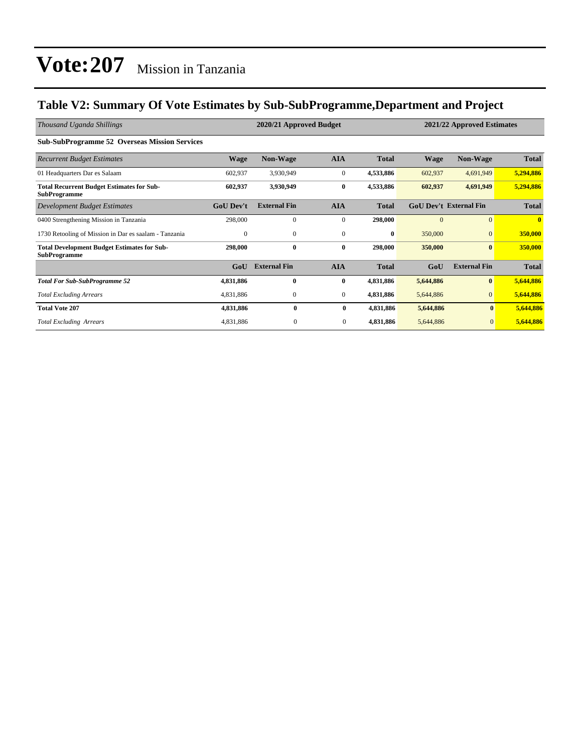### **Table V2: Summary Of Vote Estimates by Sub-SubProgramme,Department and Project**

| Thousand Uganda Shillings                                                 | 2020/21 Approved Budget<br>2021/22 Approved Estimates |                     |                  |              |             |                               |              |
|---------------------------------------------------------------------------|-------------------------------------------------------|---------------------|------------------|--------------|-------------|-------------------------------|--------------|
| <b>Sub-SubProgramme 52 Overseas Mission Services</b>                      |                                                       |                     |                  |              |             |                               |              |
| <b>Recurrent Budget Estimates</b>                                         | Wage                                                  | <b>Non-Wage</b>     | <b>AIA</b>       | <b>Total</b> | <b>Wage</b> | <b>Non-Wage</b>               | <b>Total</b> |
| 01 Headquarters Dar es Salaam                                             | 602,937                                               | 3,930,949           | $\boldsymbol{0}$ | 4,533,886    | 602,937     | 4,691,949                     | 5,294,886    |
| <b>Total Recurrent Budget Estimates for Sub-</b><br><b>SubProgramme</b>   | 602,937                                               | 3,930,949           | $\bf{0}$         | 4,533,886    | 602,937     | 4,691,949                     | 5,294,886    |
| <b>Development Budget Estimates</b>                                       | <b>GoU Dev't</b>                                      | <b>External Fin</b> | <b>AIA</b>       | <b>Total</b> |             | <b>GoU Dev't External Fin</b> | <b>Total</b> |
| 0400 Strengthening Mission in Tanzania                                    | 298,000                                               | $\mathbf{0}$        | $\mathbf{0}$     | 298,000      | $\Omega$    | $\Omega$                      | $\mathbf{0}$ |
| 1730 Retooling of Mission in Dar es saalam - Tanzania                     | $\mathbf{0}$                                          | $\mathbf{0}$        | $\mathbf{0}$     | $\bf{0}$     | 350,000     | $\mathbf{0}$                  | 350,000      |
| <b>Total Development Budget Estimates for Sub-</b><br><b>SubProgramme</b> | 298,000                                               | $\bf{0}$            | $\bf{0}$         | 298,000      | 350,000     | $\bf{0}$                      | 350,000      |
|                                                                           | GoU                                                   | <b>External Fin</b> | <b>AIA</b>       | <b>Total</b> | GoU         | <b>External Fin</b>           | <b>Total</b> |
| <b>Total For Sub-SubProgramme 52</b>                                      | 4,831,886                                             | $\bf{0}$            | $\bf{0}$         | 4,831,886    | 5,644,886   | $\bf{0}$                      | 5,644,886    |
| <b>Total Excluding Arrears</b>                                            | 4,831,886                                             | $\mathbf{0}$        | $\mathbf{0}$     | 4,831,886    | 5,644,886   | $\overline{0}$                | 5,644,886    |
| <b>Total Vote 207</b>                                                     | 4,831,886                                             | $\bf{0}$            | $\bf{0}$         | 4,831,886    | 5,644,886   | $\bf{0}$                      | 5,644,886    |
| <b>Total Excluding Arrears</b>                                            | 4,831,886                                             | $\mathbf{0}$        | $\overline{0}$   | 4,831,886    | 5,644,886   | $\overline{0}$                | 5,644,886    |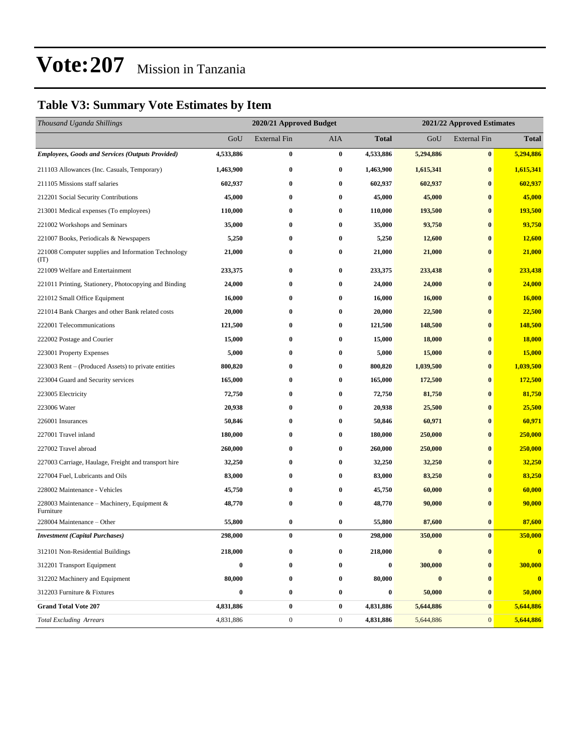### **Table V3: Summary Vote Estimates by Item**

| Thousand Uganda Shillings                                   |                  | 2020/21 Approved Budget |                  |                  |           | 2021/22 Approved Estimates |              |  |  |
|-------------------------------------------------------------|------------------|-------------------------|------------------|------------------|-----------|----------------------------|--------------|--|--|
|                                                             | GoU              | <b>External Fin</b>     | AIA              | <b>Total</b>     | GoU       | <b>External Fin</b>        | <b>Total</b> |  |  |
| <b>Employees, Goods and Services (Outputs Provided)</b>     | 4,533,886        | $\bf{0}$                | $\bf{0}$         | 4,533,886        | 5,294,886 | $\bf{0}$                   | 5,294,886    |  |  |
| 211103 Allowances (Inc. Casuals, Temporary)                 | 1,463,900        | $\bf{0}$                | $\bf{0}$         | 1,463,900        | 1,615,341 | $\bf{0}$                   | 1,615,341    |  |  |
| 211105 Missions staff salaries                              | 602,937          | $\bf{0}$                | $\bf{0}$         | 602,937          | 602,937   | $\bf{0}$                   | 602,937      |  |  |
| 212201 Social Security Contributions                        | 45,000           | $\bf{0}$                | $\bf{0}$         | 45,000           | 45,000    | $\bf{0}$                   | 45,000       |  |  |
| 213001 Medical expenses (To employees)                      | 110,000          | 0                       | $\bf{0}$         | 110,000          | 193,500   | $\bf{0}$                   | 193,500      |  |  |
| 221002 Workshops and Seminars                               | 35,000           | $\bf{0}$                | $\bf{0}$         | 35,000           | 93,750    | $\bf{0}$                   | 93,750       |  |  |
| 221007 Books, Periodicals & Newspapers                      | 5,250            | 0                       | $\bf{0}$         | 5,250            | 12,600    | $\bf{0}$                   | 12,600       |  |  |
| 221008 Computer supplies and Information Technology<br>(TT) | 21,000           | $\bf{0}$                | $\bf{0}$         | 21,000           | 21,000    | $\bf{0}$                   | 21,000       |  |  |
| 221009 Welfare and Entertainment                            | 233,375          | 0                       | $\bf{0}$         | 233,375          | 233,438   | $\bf{0}$                   | 233,438      |  |  |
| 221011 Printing, Stationery, Photocopying and Binding       | 24,000           | $\bf{0}$                | $\bf{0}$         | 24,000           | 24,000    | $\bf{0}$                   | 24,000       |  |  |
| 221012 Small Office Equipment                               | 16,000           | 0                       | $\bf{0}$         | 16,000           | 16,000    | $\bf{0}$                   | 16,000       |  |  |
| 221014 Bank Charges and other Bank related costs            | 20,000           | $\bf{0}$                | $\bf{0}$         | 20,000           | 22,500    | $\bf{0}$                   | 22,500       |  |  |
| 222001 Telecommunications                                   | 121,500          | $\bf{0}$                | $\bf{0}$         | 121,500          | 148,500   | $\bf{0}$                   | 148,500      |  |  |
| 222002 Postage and Courier                                  | 15,000           | 0                       | $\bf{0}$         | 15,000           | 18,000    | $\bf{0}$                   | 18,000       |  |  |
| 223001 Property Expenses                                    | 5,000            | $\bf{0}$                | $\bf{0}$         | 5,000            | 15,000    | $\bf{0}$                   | 15,000       |  |  |
| 223003 Rent – (Produced Assets) to private entities         | 800,820          | 0                       | $\bf{0}$         | 800,820          | 1,039,500 | $\bf{0}$                   | 1,039,500    |  |  |
| 223004 Guard and Security services                          | 165,000          | $\bf{0}$                | $\bf{0}$         | 165,000          | 172,500   | $\bf{0}$                   | 172,500      |  |  |
| 223005 Electricity                                          | 72,750           | $\bf{0}$                | $\bf{0}$         | 72,750           | 81,750    | $\bf{0}$                   | 81,750       |  |  |
| 223006 Water                                                | 20,938           | 0                       | $\bf{0}$         | 20,938           | 25,500    | $\bf{0}$                   | 25,500       |  |  |
| 226001 Insurances                                           | 50,846           | $\bf{0}$                | $\bf{0}$         | 50,846           | 60,971    | $\bf{0}$                   | 60,971       |  |  |
| 227001 Travel inland                                        | 180,000          | 0                       | $\bf{0}$         | 180,000          | 250,000   | $\bf{0}$                   | 250,000      |  |  |
| 227002 Travel abroad                                        | 260,000          | $\bf{0}$                | $\bf{0}$         | 260,000          | 250,000   | $\bf{0}$                   | 250,000      |  |  |
| 227003 Carriage, Haulage, Freight and transport hire        | 32,250           | $\bf{0}$                | $\bf{0}$         | 32,250           | 32,250    | $\bf{0}$                   | 32,250       |  |  |
| 227004 Fuel, Lubricants and Oils                            | 83,000           | 0                       | $\bf{0}$         | 83,000           | 83,250    | $\bf{0}$                   | 83,250       |  |  |
| 228002 Maintenance - Vehicles                               | 45,750           | $\bf{0}$                | $\bf{0}$         | 45,750           | 60,000    | $\bf{0}$                   | 60,000       |  |  |
| 228003 Maintenance – Machinery, Equipment &<br>Furniture    | 48,770           | $\bf{0}$                | $\bf{0}$         | 48,770           | 90,000    | $\bf{0}$                   | 90,000       |  |  |
| 228004 Maintenance – Other                                  | 55,800           | $\bf{0}$                | $\bf{0}$         | 55,800           | 87,600    | $\bf{0}$                   | 87,600       |  |  |
| <b>Investment</b> (Capital Purchases)                       | 298,000          | $\bf{0}$                | $\bf{0}$         | 298,000          | 350,000   | $\bf{0}$                   | 350,000      |  |  |
| 312101 Non-Residential Buildings                            | 218,000          | 0                       | $\bf{0}$         | 218,000          | $\bf{0}$  | $\bf{0}$                   | $\bf{0}$     |  |  |
| 312201 Transport Equipment                                  | 0                | $\bf{0}$                | $\bf{0}$         | $\boldsymbol{0}$ | 300,000   | $\bf{0}$                   | 300,000      |  |  |
| 312202 Machinery and Equipment                              | 80,000           | $\bf{0}$                | $\bf{0}$         | 80,000           | $\bf{0}$  | $\bf{0}$                   | $\bf{0}$     |  |  |
| 312203 Furniture & Fixtures                                 | $\boldsymbol{0}$ | $\bf{0}$                | $\bf{0}$         | $\boldsymbol{0}$ | 50,000    | $\bf{0}$                   | 50,000       |  |  |
| <b>Grand Total Vote 207</b>                                 | 4,831,886        | $\pmb{0}$               | $\bf{0}$         | 4,831,886        | 5,644,886 | $\bf{0}$                   | 5,644,886    |  |  |
| <b>Total Excluding Arrears</b>                              | 4,831,886        | $\boldsymbol{0}$        | $\boldsymbol{0}$ | 4,831,886        | 5,644,886 | $\mathbf{0}$               | 5,644,886    |  |  |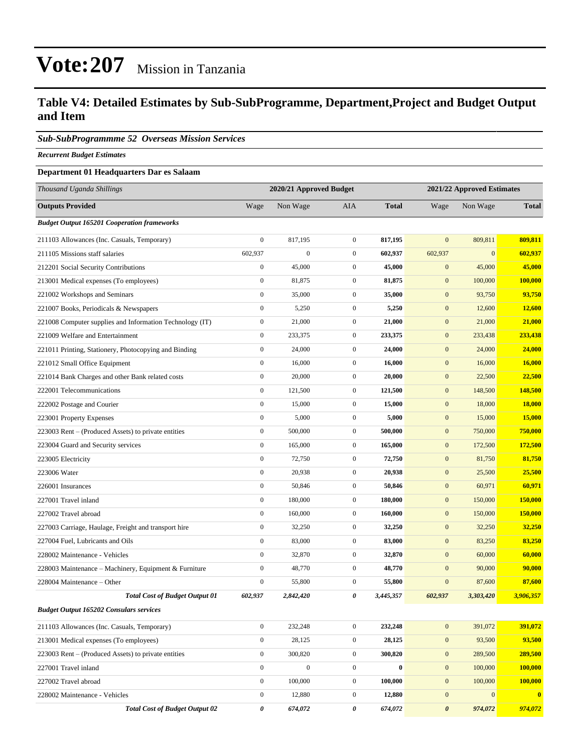### **Table V4: Detailed Estimates by Sub-SubProgramme, Department,Project and Budget Output and Item**

#### *Sub-SubProgrammme 52 Overseas Mission Services*

*Recurrent Budget Estimates*

#### **Department 01 Headquarters Dar es Salaam**

| Thousand Uganda Shillings                                |                  | 2020/21 Approved Budget |                  | 2021/22 Approved Estimates |                       |              |                |
|----------------------------------------------------------|------------------|-------------------------|------------------|----------------------------|-----------------------|--------------|----------------|
| <b>Outputs Provided</b>                                  | Wage             | Non Wage                | AIA              | <b>Total</b>               | Wage                  | Non Wage     | <b>Total</b>   |
| <b>Budget Output 165201 Cooperation frameworks</b>       |                  |                         |                  |                            |                       |              |                |
| 211103 Allowances (Inc. Casuals, Temporary)              | $\boldsymbol{0}$ | 817,195                 | $\overline{0}$   | 817,195                    | $\mathbf{0}$          | 809,811      | 809,811        |
| 211105 Missions staff salaries                           | 602,937          | $\boldsymbol{0}$        | $\overline{0}$   | 602,937                    | 602,937               | $\mathbf{0}$ | 602,937        |
| 212201 Social Security Contributions                     | $\boldsymbol{0}$ | 45,000                  | $\mathbf{0}$     | 45,000                     | $\mathbf{0}$          | 45,000       | 45,000         |
| 213001 Medical expenses (To employees)                   | $\boldsymbol{0}$ | 81,875                  | $\mathbf{0}$     | 81,875                     | $\mathbf{0}$          | 100,000      | <b>100,000</b> |
| 221002 Workshops and Seminars                            | $\boldsymbol{0}$ | 35,000                  | $\mathbf{0}$     | 35,000                     | $\mathbf{0}$          | 93,750       | 93,750         |
| 221007 Books, Periodicals & Newspapers                   | $\boldsymbol{0}$ | 5,250                   | $\overline{0}$   | 5,250                      | $\mathbf{0}$          | 12,600       | 12,600         |
| 221008 Computer supplies and Information Technology (IT) | $\boldsymbol{0}$ | 21,000                  | $\overline{0}$   | 21,000                     | $\mathbf{0}$          | 21,000       | 21,000         |
| 221009 Welfare and Entertainment                         | $\boldsymbol{0}$ | 233,375                 | $\mathbf{0}$     | 233,375                    | $\mathbf{0}$          | 233,438      | 233,438        |
| 221011 Printing, Stationery, Photocopying and Binding    | $\boldsymbol{0}$ | 24,000                  | $\mathbf{0}$     | 24,000                     | $\mathbf{0}$          | 24,000       | 24,000         |
| 221012 Small Office Equipment                            | $\boldsymbol{0}$ | 16,000                  | $\mathbf{0}$     | 16,000                     | $\mathbf{0}$          | 16,000       | 16,000         |
| 221014 Bank Charges and other Bank related costs         | $\boldsymbol{0}$ | 20,000                  | $\overline{0}$   | 20,000                     | $\mathbf{0}$          | 22,500       | 22,500         |
| 222001 Telecommunications                                | $\boldsymbol{0}$ | 121,500                 | $\mathbf{0}$     | 121,500                    | $\mathbf{0}$          | 148,500      | 148,500        |
| 222002 Postage and Courier                               | $\boldsymbol{0}$ | 15,000                  | $\mathbf{0}$     | 15,000                     | $\mathbf{0}$          | 18,000       | 18,000         |
| 223001 Property Expenses                                 | $\boldsymbol{0}$ | 5,000                   | $\overline{0}$   | 5,000                      | $\mathbf{0}$          | 15,000       | <b>15,000</b>  |
| 223003 Rent – (Produced Assets) to private entities      | $\boldsymbol{0}$ | 500,000                 | $\mathbf{0}$     | 500,000                    | $\mathbf{0}$          | 750,000      | 750,000        |
| 223004 Guard and Security services                       | $\boldsymbol{0}$ | 165,000                 | $\overline{0}$   | 165,000                    | $\mathbf{0}$          | 172,500      | 172,500        |
| 223005 Electricity                                       | $\boldsymbol{0}$ | 72,750                  | $\mathbf{0}$     | 72,750                     | $\mathbf{0}$          | 81,750       | 81,750         |
| 223006 Water                                             | $\boldsymbol{0}$ | 20,938                  | $\mathbf{0}$     | 20,938                     | $\mathbf{0}$          | 25,500       | 25,500         |
| 226001 Insurances                                        | $\boldsymbol{0}$ | 50,846                  | $\boldsymbol{0}$ | 50,846                     | $\mathbf{0}$          | 60,971       | 60,971         |
| 227001 Travel inland                                     | $\boldsymbol{0}$ | 180,000                 | $\mathbf{0}$     | 180,000                    | $\mathbf{0}$          | 150,000      | 150,000        |
| 227002 Travel abroad                                     | $\boldsymbol{0}$ | 160,000                 | $\overline{0}$   | 160,000                    | $\mathbf{0}$          | 150,000      | 150,000        |
| 227003 Carriage, Haulage, Freight and transport hire     | $\boldsymbol{0}$ | 32,250                  | $\overline{0}$   | 32,250                     | $\mathbf{0}$          | 32,250       | 32,250         |
| 227004 Fuel, Lubricants and Oils                         | $\boldsymbol{0}$ | 83,000                  | $\mathbf{0}$     | 83,000                     | $\mathbf{0}$          | 83,250       | 83,250         |
| 228002 Maintenance - Vehicles                            | $\boldsymbol{0}$ | 32,870                  | $\boldsymbol{0}$ | 32,870                     | $\mathbf{0}$          | 60,000       | 60,000         |
| 228003 Maintenance – Machinery, Equipment & Furniture    | $\boldsymbol{0}$ | 48,770                  | $\boldsymbol{0}$ | 48,770                     | $\mathbf{0}$          | 90,000       | 90,000         |
| 228004 Maintenance - Other                               | $\boldsymbol{0}$ | 55,800                  | $\mathbf{0}$     | 55,800                     | $\boldsymbol{0}$      | 87,600       | 87,600         |
| <b>Total Cost of Budget Output 01</b>                    | 602,937          | 2,842,420               | 0                | 3,445,357                  | 602,937               | 3,303,420    | 3,906,357      |
| <b>Budget Output 165202 Consulars services</b>           |                  |                         |                  |                            |                       |              |                |
| 211103 Allowances (Inc. Casuals, Temporary)              | $\mathbf{0}$     | 232,248                 | $\boldsymbol{0}$ | 232,248                    | $\mathbf{0}$          | 391,072      | 391,072        |
| 213001 Medical expenses (To employees)                   | $\mathbf{0}$     | 28,125                  | $\boldsymbol{0}$ | 28,125                     | $\mathbf{0}$          | 93,500       | 93,500         |
| 223003 Rent – (Produced Assets) to private entities      | $\mathbf{0}$     | 300,820                 | $\overline{0}$   | 300,820                    | $\mathbf{0}$          | 289,500      | 289,500        |
| 227001 Travel inland                                     | $\boldsymbol{0}$ | $\boldsymbol{0}$        | $\boldsymbol{0}$ | $\bf{0}$                   | $\mathbf{0}$          | 100,000      | 100,000        |
| 227002 Travel abroad                                     | $\boldsymbol{0}$ | 100,000                 | $\boldsymbol{0}$ | 100,000                    | $\mathbf{0}$          | 100,000      | 100,000        |
| 228002 Maintenance - Vehicles                            | $\boldsymbol{0}$ | 12,880                  | $\boldsymbol{0}$ | 12,880                     | $\mathbf{0}$          | $\mathbf{0}$ | $\bf{0}$       |
| <b>Total Cost of Budget Output 02</b>                    | $\pmb{\theta}$   | 674,072                 | 0                | 674,072                    | $\boldsymbol{\theta}$ | 974,072      | 974,072        |